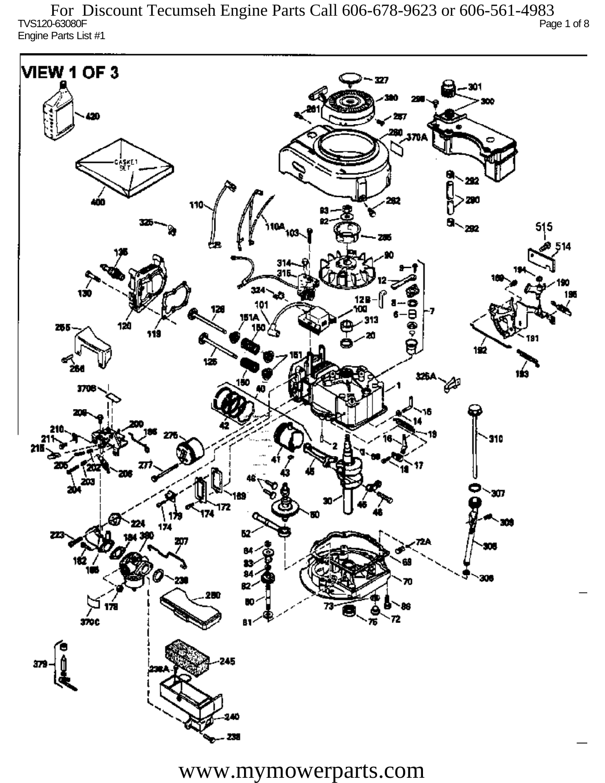TVS120-63080F Page 1 of 8 Engine Parts List #1 For Discount Tecumseh Engine Parts Call 606-678-9623 or 606-561-4983

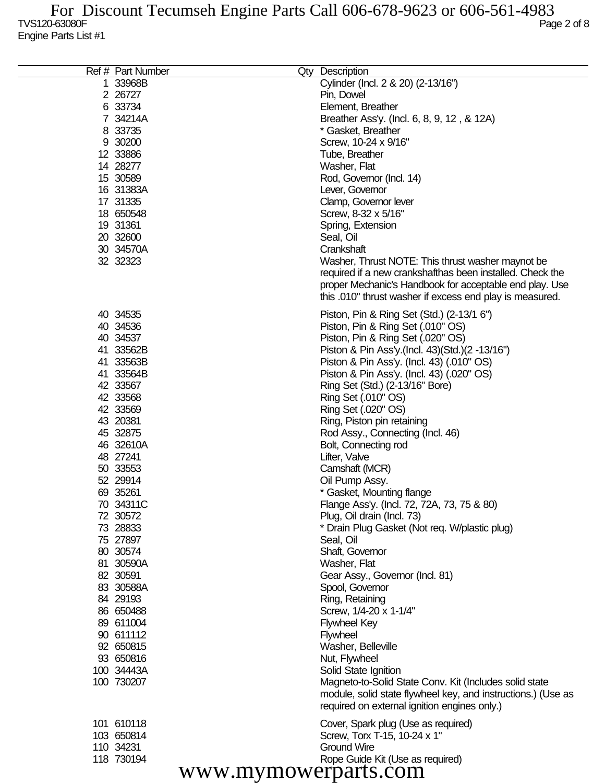| Ref # Part Number    | Qty Description                                              |
|----------------------|--------------------------------------------------------------|
| 1 33968B             | Cylinder (Incl. 2 & 20) (2-13/16")                           |
| 2 26727              | Pin, Dowel                                                   |
| 6 33734              | Element, Breather                                            |
| 7 34214A             | Breather Ass'y. (Incl. 6, 8, 9, 12, & 12A)                   |
| 8 33735              | * Gasket, Breather                                           |
| 9 30200              | Screw, 10-24 x 9/16"                                         |
| 12 33886             | Tube, Breather                                               |
| 14 28277             | Washer, Flat                                                 |
| 15 30589             | Rod, Governor (Incl. 14)                                     |
| 16 31383A            |                                                              |
|                      | Lever, Governor                                              |
| 17 31335             | Clamp, Governor lever                                        |
| 18 650548            | Screw, 8-32 x 5/16"                                          |
| 19 31361             | Spring, Extension                                            |
| 20 32600             | Seal, Oil                                                    |
| 30 34570A            | Crankshaft                                                   |
| 32 32323             | Washer, Thrust NOTE: This thrust washer maynot be            |
|                      | required if a new crankshafthas been installed. Check the    |
|                      | proper Mechanic's Handbook for acceptable end play. Use      |
|                      | this .010" thrust washer if excess end play is measured.     |
| 40 34535             | Piston, Pin & Ring Set (Std.) (2-13/1 6")                    |
| 40 34536             | Piston, Pin & Ring Set (.010" OS)                            |
| 40 34537             | Piston, Pin & Ring Set (.020" OS)                            |
| 41 33562B            | Piston & Pin Ass'y (Incl. 43) (Std.) (2 -13/16")             |
|                      |                                                              |
| 41 33563B            | Piston & Pin Ass'y. (Incl. 43) (.010" OS)                    |
| 41 33564B            | Piston & Pin Ass'y. (Incl. 43) (.020" OS)                    |
| 42 33567             | Ring Set (Std.) (2-13/16" Bore)                              |
| 42 33568             | Ring Set (.010" OS)                                          |
| 42 33569             | Ring Set (.020" OS)                                          |
| 43 20381             | Ring, Piston pin retaining                                   |
| 45 32875             | Rod Assy., Connecting (Incl. 46)                             |
| 46 32610A            | Bolt, Connecting rod                                         |
| 48 27241             | Lifter, Valve                                                |
| 50 33553             | Camshaft (MCR)                                               |
| 52 29914             | Oil Pump Assy.                                               |
| 69 35261             | * Gasket, Mounting flange                                    |
| 70 34311C            | Flange Ass'y. (Incl. 72, 72A, 73, 75 & 80)                   |
| 72 30572             | Plug, Oil drain (Incl. 73)                                   |
| 73 28833             | * Drain Plug Gasket (Not req. W/plastic plug)                |
| 75 27897             | Seal, Oil                                                    |
| 80 30574             | Shaft, Governor                                              |
| 81 30590A            | Washer, Flat                                                 |
| 82 30591             | Gear Assy., Governor (Incl. 81)                              |
| 83 30588A            | Spool, Governor                                              |
| 84 29193             | Ring, Retaining                                              |
| 86 650488            | Screw, 1/4-20 x 1-1/4"                                       |
| 89 611004            | <b>Flywheel Key</b>                                          |
| 90 611112            | <b>Flywheel</b>                                              |
| 92 650815            | Washer, Belleville                                           |
| 93 650816            | Nut, Flywheel                                                |
| 100 34443A           | Solid State Ignition                                         |
| 100 730207           | Magneto-to-Solid State Conv. Kit (Includes solid state       |
|                      | module, solid state flywheel key, and instructions.) (Use as |
|                      | required on external ignition engines only.)                 |
| 101 610118           | Cover, Spark plug (Use as required)                          |
| 103 650814           | Screw, Torx T-15, 10-24 x 1"                                 |
| 110 34231            | <b>Ground Wire</b>                                           |
| 118 730194           | Rope Guide Kit (Use as required)                             |
| www.mymowerparts.com |                                                              |
|                      |                                                              |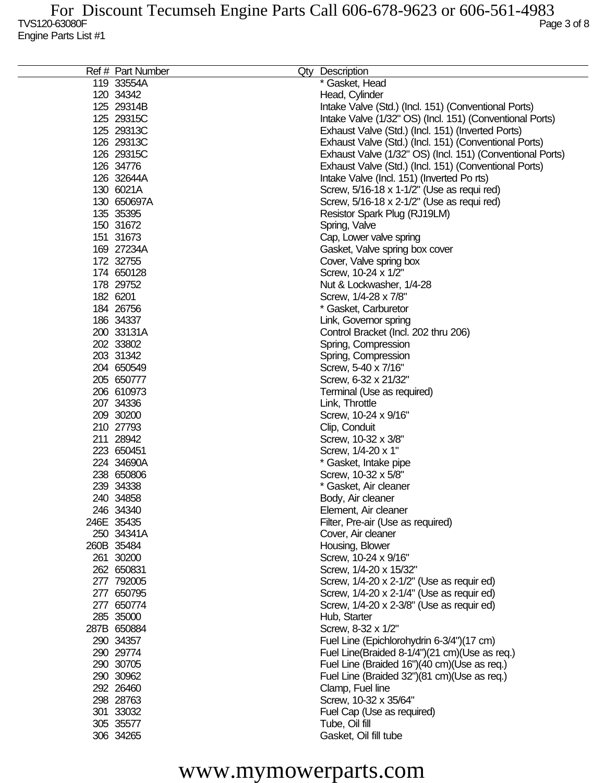| Ref # Part Number | Qty Description                                           |
|-------------------|-----------------------------------------------------------|
| 119 33554A        | * Gasket, Head                                            |
| 120 34342         | Head, Cylinder                                            |
| 125 29314B        | Intake Valve (Std.) (Incl. 151) (Conventional Ports)      |
| 125 29315C        | Intake Valve (1/32" OS) (Incl. 151) (Conventional Ports)  |
| 125 29313C        | Exhaust Valve (Std.) (Incl. 151) (Inverted Ports)         |
| 126 29313C        | Exhaust Valve (Std.) (Incl. 151) (Conventional Ports)     |
|                   |                                                           |
| 126 29315C        | Exhaust Valve (1/32" OS) (Incl. 151) (Conventional Ports) |
| 126 34776         | Exhaust Valve (Std.) (Incl. 151) (Conventional Ports)     |
| 126 32644A        | Intake Valve (Incl. 151) (Inverted Po rts)                |
| 130 6021A         | Screw, 5/16-18 x 1-1/2" (Use as requi red)                |
| 130 650697A       | Screw, 5/16-18 x 2-1/2" (Use as requi red)                |
| 135 35395         | Resistor Spark Plug (RJ19LM)                              |
| 150 31672         | Spring, Valve                                             |
| 151 31673         | Cap, Lower valve spring                                   |
| 169 27234A        | Gasket, Valve spring box cover                            |
| 172 32755         | Cover, Valve spring box                                   |
| 174 650128        | Screw, 10-24 x 1/2"                                       |
| 178 29752         | Nut & Lockwasher, 1/4-28                                  |
| 182 6201          | Screw, 1/4-28 x 7/8"                                      |
|                   |                                                           |
| 184 26756         | * Gasket, Carburetor                                      |
| 186 34337         | Link, Governor spring                                     |
| 200 33131A        | Control Bracket (Incl. 202 thru 206)                      |
| 202 33802         | Spring, Compression                                       |
| 203 31342         | Spring, Compression                                       |
| 204 650549        | Screw, 5-40 x 7/16"                                       |
| 205 650777        | Screw, 6-32 x 21/32"                                      |
| 206 610973        | Terminal (Use as required)                                |
| 207 34336         | Link, Throttle                                            |
| 209 30200         | Screw, 10-24 x 9/16"                                      |
| 210 27793         | Clip, Conduit                                             |
| 211 28942         | Screw, 10-32 x 3/8"                                       |
| 223 650451        | Screw, 1/4-20 x 1"                                        |
| 224 34690A        | * Gasket, Intake pipe                                     |
| 238 650806        | Screw, 10-32 x 5/8"                                       |
| 239 34338         | * Gasket, Air cleaner                                     |
|                   |                                                           |
| 240 34858         | Body, Air cleaner                                         |
| 246 34340         | Element, Air cleaner                                      |
| 246E 35435        | Filter, Pre-air (Use as required)                         |
| 250 34341A        | Cover, Air cleaner                                        |
| 260B 35484        | Housing, Blower                                           |
| 261 30200         | Screw, 10-24 x 9/16"                                      |
| 262 650831        | Screw, 1/4-20 x 15/32"                                    |
| 277 792005        | Screw, 1/4-20 x 2-1/2" (Use as requir ed)                 |
| 277 650795        | Screw, 1/4-20 x 2-1/4" (Use as requir ed)                 |
| 277 650774        | Screw, 1/4-20 x 2-3/8" (Use as requir ed)                 |
| 285 35000         | Hub, Starter                                              |
| 287B 650884       | Screw, 8-32 x 1/2"                                        |
| 290 34357         | Fuel Line (Epichlorohydrin 6-3/4")(17 cm)                 |
| 290 29774         | Fuel Line(Braided 8-1/4")(21 cm)(Use as req.)             |
| 290 30705         | Fuel Line (Braided 16")(40 cm)(Use as req.)               |
|                   |                                                           |
| 290 30962         | Fuel Line (Braided 32")(81 cm)(Use as req.)               |
| 292 26460         | Clamp, Fuel line                                          |
| 298 28763         | Screw, 10-32 x 35/64"                                     |
| 301 33032         | Fuel Cap (Use as required)                                |
| 305 35577         | Tube, Oil fill                                            |
| 306 34265         | Gasket, Oil fill tube                                     |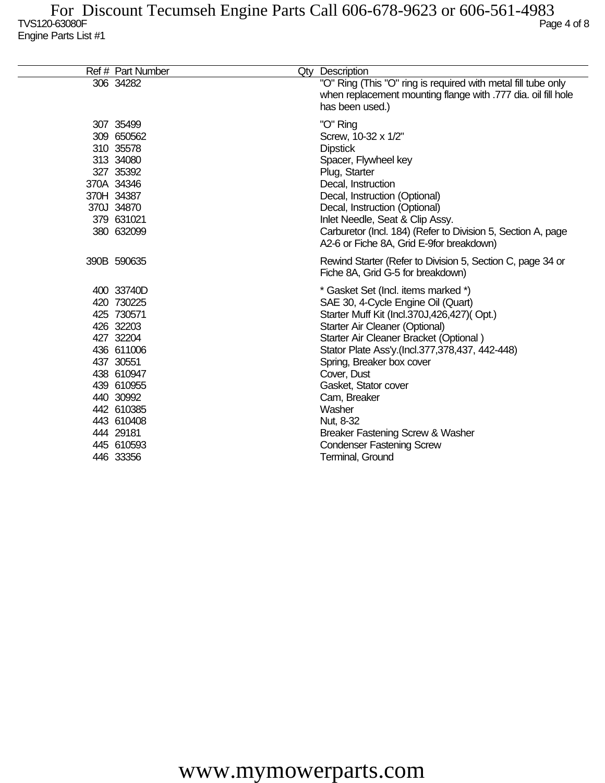| Ref # Part Number                                                                                                                                                                                        | Qty Description                                                                                                                                                                                                                                                                                                                                                                                                                                              |
|----------------------------------------------------------------------------------------------------------------------------------------------------------------------------------------------------------|--------------------------------------------------------------------------------------------------------------------------------------------------------------------------------------------------------------------------------------------------------------------------------------------------------------------------------------------------------------------------------------------------------------------------------------------------------------|
| 306 34282                                                                                                                                                                                                | "O" Ring (This "O" ring is required with metal fill tube only<br>when replacement mounting flange with .777 dia. oil fill hole<br>has been used.)                                                                                                                                                                                                                                                                                                            |
| 307 35499<br>309 650562<br>310 35578<br>313 34080<br>327 35392<br>370A 34346<br>370H 34387<br>370J 34870<br>379 631021<br>380 632099                                                                     | "O" Ring<br>Screw, 10-32 x 1/2"<br><b>Dipstick</b><br>Spacer, Flywheel key<br>Plug, Starter<br>Decal, Instruction<br>Decal, Instruction (Optional)<br>Decal, Instruction (Optional)<br>Inlet Needle, Seat & Clip Assy.<br>Carburetor (Incl. 184) (Refer to Division 5, Section A, page<br>A2-6 or Fiche 8A, Grid E-9for breakdown)                                                                                                                           |
| 390B 590635                                                                                                                                                                                              | Rewind Starter (Refer to Division 5, Section C, page 34 or<br>Fiche 8A, Grid G-5 for breakdown)                                                                                                                                                                                                                                                                                                                                                              |
| 400 33740D<br>420 730225<br>425 730571<br>426 32203<br>427 32204<br>436 611006<br>437 30551<br>438 610947<br>439 610955<br>440 30992<br>442 610385<br>443 610408<br>444 29181<br>445 610593<br>446 33356 | * Gasket Set (Incl. items marked *)<br>SAE 30, 4-Cycle Engine Oil (Quart)<br>Starter Muff Kit (Incl.370J,426,427)(Opt.)<br>Starter Air Cleaner (Optional)<br>Starter Air Cleaner Bracket (Optional)<br>Stator Plate Ass'y (Incl.377,378,437, 442-448)<br>Spring, Breaker box cover<br>Cover, Dust<br>Gasket, Stator cover<br>Cam, Breaker<br>Washer<br>Nut, 8-32<br>Breaker Fastening Screw & Washer<br><b>Condenser Fastening Screw</b><br>Terminal, Ground |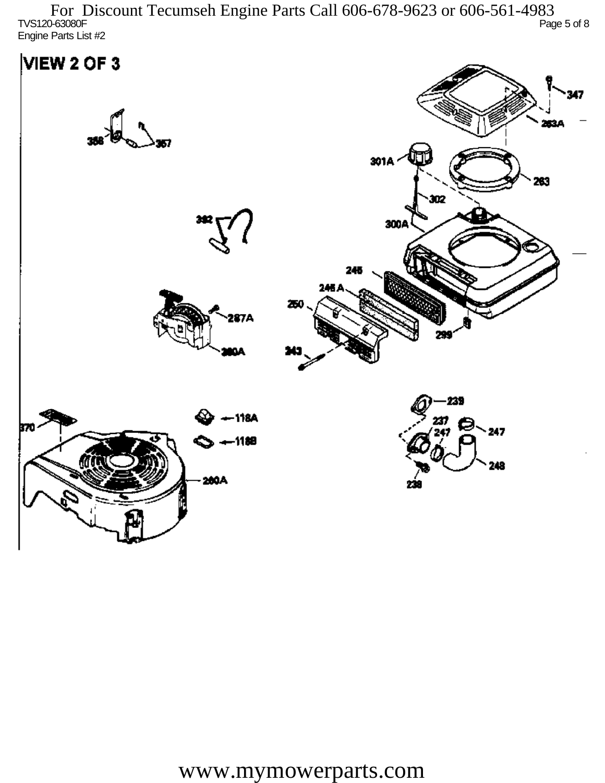TVS120-63080F Page 5 of 8 Engine Parts List #2 For Discount Tecumseh Engine Parts Call 606-678-9623 or 606-561-4983

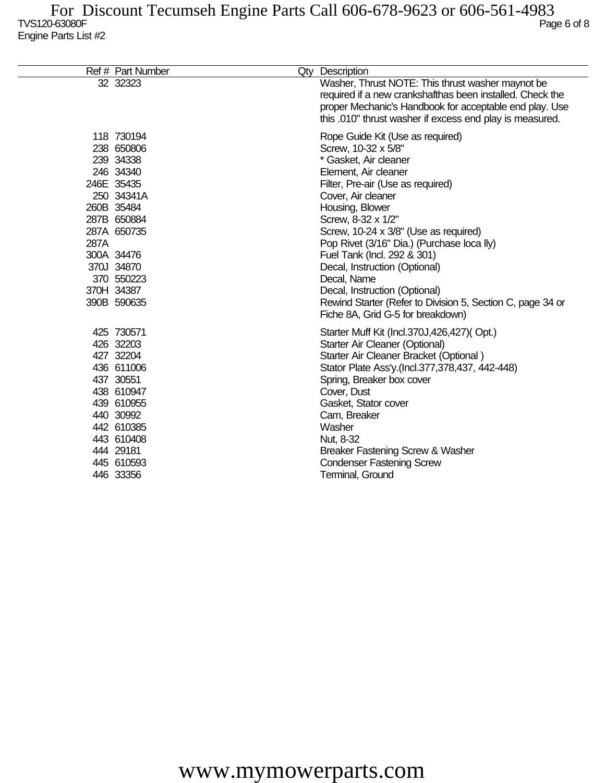|      | Ref # Part Number                                                                                                                                                                                 | Qty Description                                                                                                                                                                                                                                                                                                                                                                                                                                                                                                        |
|------|---------------------------------------------------------------------------------------------------------------------------------------------------------------------------------------------------|------------------------------------------------------------------------------------------------------------------------------------------------------------------------------------------------------------------------------------------------------------------------------------------------------------------------------------------------------------------------------------------------------------------------------------------------------------------------------------------------------------------------|
|      | 32 32323                                                                                                                                                                                          | Washer, Thrust NOTE: This thrust washer maynot be<br>required if a new crankshafthas been installed. Check the<br>proper Mechanic's Handbook for acceptable end play. Use<br>this .010" thrust washer if excess end play is measured.                                                                                                                                                                                                                                                                                  |
| 287A | 118 730194<br>238 650806<br>239 34338<br>246 34340<br>246E 35435<br>250 34341A<br>260B 35484<br>287B 650884<br>287A 650735<br>300A 34476<br>370J 34870<br>370 550223<br>370H 34387<br>390B 590635 | Rope Guide Kit (Use as required)<br>Screw, 10-32 x 5/8"<br>* Gasket, Air cleaner<br>Element, Air cleaner<br>Filter, Pre-air (Use as required)<br>Cover, Air cleaner<br>Housing, Blower<br>Screw, 8-32 x 1/2"<br>Screw, 10-24 x 3/8" (Use as required)<br>Pop Rivet (3/16" Dia.) (Purchase loca lly)<br>Fuel Tank (Incl. 292 & 301)<br>Decal, Instruction (Optional)<br>Decal, Name<br>Decal, Instruction (Optional)<br>Rewind Starter (Refer to Division 5, Section C, page 34 or<br>Fiche 8A, Grid G-5 for breakdown) |
|      | 425 730571<br>426 32203<br>427 32204<br>436 611006<br>437 30551<br>438 610947<br>439 610955<br>440 30992<br>442 610385<br>443 610408<br>444 29181<br>445 610593<br>446 33356                      | Starter Muff Kit (Incl.370J,426,427)(Opt.)<br>Starter Air Cleaner (Optional)<br>Starter Air Cleaner Bracket (Optional)<br>Stator Plate Ass'y (Incl.377,378,437, 442-448)<br>Spring, Breaker box cover<br>Cover, Dust<br>Gasket, Stator cover<br>Cam, Breaker<br>Washer<br>Nut, 8-32<br>Breaker Fastening Screw & Washer<br><b>Condenser Fastening Screw</b><br>Terminal, Ground                                                                                                                                        |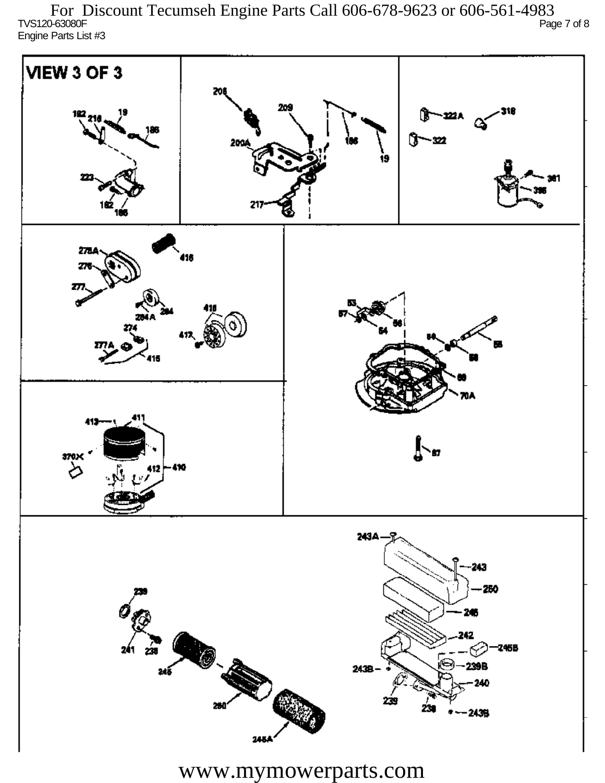TVS120-63080F Page 7 of 8 Engine Parts List #3 For Discount Tecumseh Engine Parts Call 606-678-9623 or 606-561-4983